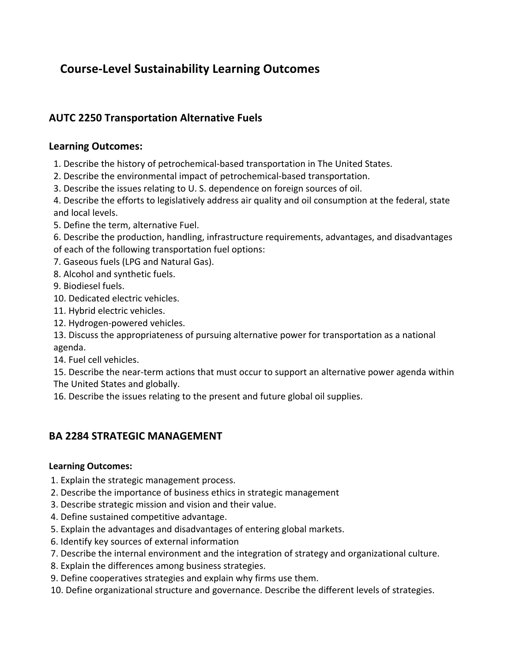# **Course-Level Sustainability Learning Outcomes**

# **AUTC 2250 Transportation Alternative Fuels**

### **Learning Outcomes:**

- 1. Describe the history of petrochemical-based transportation in The United States.
- 2. Describe the environmental impact of petrochemical-based transportation.
- 3. Describe the issues relating to U. S. dependence on foreign sources of oil.

4. Describe the efforts to legislatively address air quality and oil consumption at the federal, state and local levels.

5. Define the term, alternative Fuel.

6. Describe the production, handling, infrastructure requirements, advantages, and disadvantages of each of the following transportation fuel options:

- 7. Gaseous fuels (LPG and Natural Gas).
- 8. Alcohol and synthetic fuels.
- 9. Biodiesel fuels.
- 10. Dedicated electric vehicles.
- 11. Hybrid electric vehicles.
- 12. Hydrogen-powered vehicles.

13. Discuss the appropriateness of pursuing alternative power for transportation as a national agenda.

- 14. Fuel cell vehicles.
- 15. Describe the near-term actions that must occur to support an alternative power agenda within
- The United States and globally.
- 16. Describe the issues relating to the present and future global oil supplies.

# **BA 2284 STRATEGIC MANAGEMENT**

#### **Learning Outcomes:**

- 1. Explain the strategic management process.
- 2. Describe the importance of business ethics in strategic management
- 3. Describe strategic mission and vision and their value.
- 4. Define sustained competitive advantage.
- 5. Explain the advantages and disadvantages of entering global markets.
- 6. Identify key sources of external information
- 7. Describe the internal environment and the integration of strategy and organizational culture.
- 8. Explain the differences among business strategies.
- 9. Define cooperatives strategies and explain why firms use them.
- 10. Define organizational structure and governance. Describe the different levels of strategies.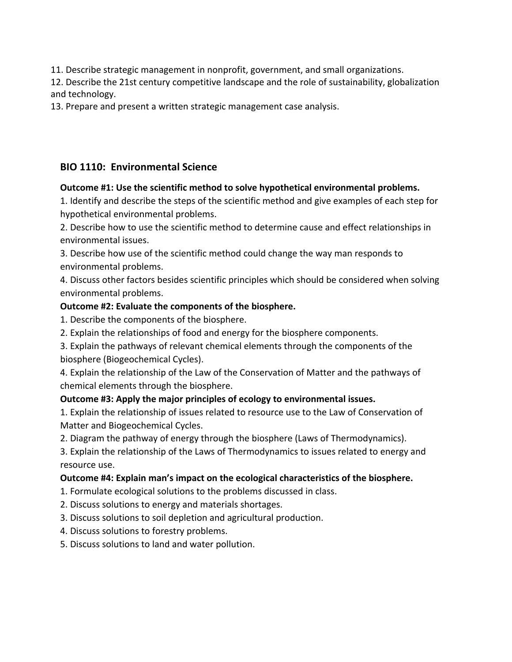11. Describe strategic management in nonprofit, government, and small organizations.

12. Describe the 21st century competitive landscape and the role of sustainability, globalization and technology.

13. Prepare and present a written strategic management case analysis.

### **BIO 1110: Environmental Science**

### **Outcome #1: Use the scientific method to solve hypothetical environmental problems.**

1. Identify and describe the steps of the scientific method and give examples of each step for hypothetical environmental problems.

2. Describe how to use the scientific method to determine cause and effect relationships in environmental issues.

3. Describe how use of the scientific method could change the way man responds to environmental problems.

4. Discuss other factors besides scientific principles which should be considered when solving environmental problems.

#### **Outcome #2: Evaluate the components of the biosphere.**

1. Describe the components of the biosphere.

2. Explain the relationships of food and energy for the biosphere components.

3. Explain the pathways of relevant chemical elements through the components of the biosphere (Biogeochemical Cycles).

4. Explain the relationship of the Law of the Conservation of Matter and the pathways of chemical elements through the biosphere.

### **Outcome #3: Apply the major principles of ecology to environmental issues.**

1. Explain the relationship of issues related to resource use to the Law of Conservation of Matter and Biogeochemical Cycles.

2. Diagram the pathway of energy through the biosphere (Laws of Thermodynamics).

3. Explain the relationship of the Laws of Thermodynamics to issues related to energy and resource use.

### **Outcome #4: Explain man's impact on the ecological characteristics of the biosphere.**

- 1. Formulate ecological solutions to the problems discussed in class.
- 2. Discuss solutions to energy and materials shortages.
- 3. Discuss solutions to soil depletion and agricultural production.
- 4. Discuss solutions to forestry problems.

5. Discuss solutions to land and water pollution.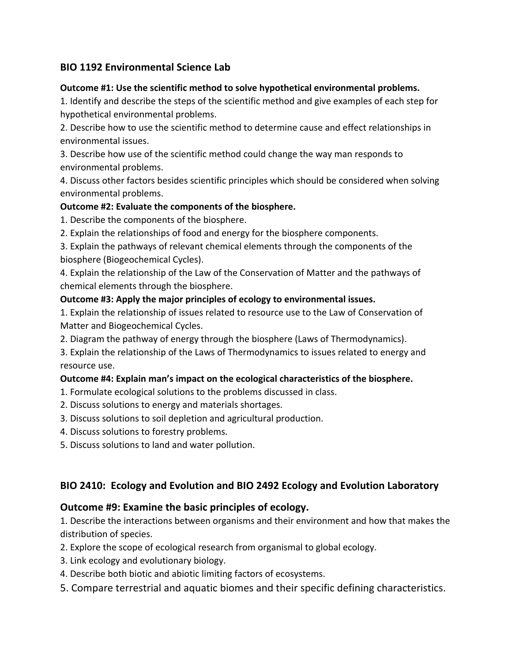# **BIO 1192 Environmental Science Lab**

#### **Outcome #1: Use the scientific method to solve hypothetical environmental problems.**

1. Identify and describe the steps of the scientific method and give examples of each step for hypothetical environmental problems.

2. Describe how to use the scientific method to determine cause and effect relationships in environmental issues.

3. Describe how use of the scientific method could change the way man responds to environmental problems.

4. Discuss other factors besides scientific principles which should be considered when solving environmental problems.

### **Outcome #2: Evaluate the components of the biosphere.**

1. Describe the components of the biosphere.

2. Explain the relationships of food and energy for the biosphere components.

3. Explain the pathways of relevant chemical elements through the components of the biosphere (Biogeochemical Cycles).

4. Explain the relationship of the Law of the Conservation of Matter and the pathways of chemical elements through the biosphere.

### **Outcome #3: Apply the major principles of ecology to environmental issues.**

1. Explain the relationship of issues related to resource use to the Law of Conservation of Matter and Biogeochemical Cycles.

2. Diagram the pathway of energy through the biosphere (Laws of Thermodynamics).

3. Explain the relationship of the Laws of Thermodynamics to issues related to energy and resource use.

#### **Outcome #4: Explain man's impact on the ecological characteristics of the biosphere.**

- 1. Formulate ecological solutions to the problems discussed in class.
- 2. Discuss solutions to energy and materials shortages.
- 3. Discuss solutions to soil depletion and agricultural production.
- 4. Discuss solutions to forestry problems.
- 5. Discuss solutions to land and water pollution.

# **BIO 2410: Ecology and Evolution and BIO 2492 Ecology and Evolution Laboratory**

### **Outcome #9: Examine the basic principles of ecology.**

1. Describe the interactions between organisms and their environment and how that makes the distribution of species.

- 2. Explore the scope of ecological research from organismal to global ecology.
- 3. Link ecology and evolutionary biology.
- 4. Describe both biotic and abiotic limiting factors of ecosystems.
- 5. Compare terrestrial and aquatic biomes and their specific defining characteristics.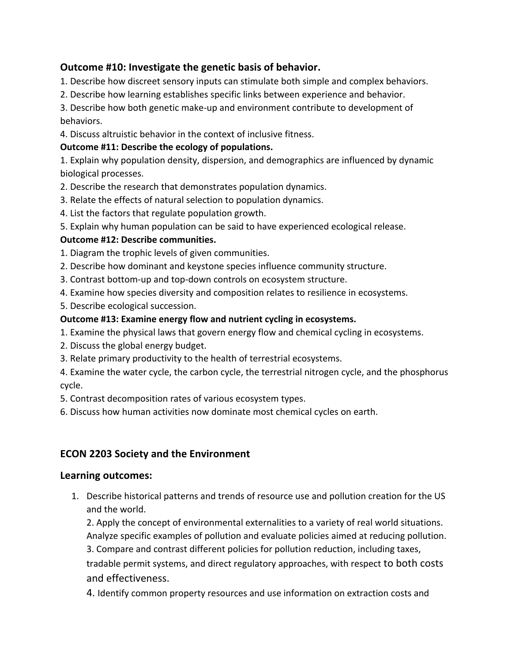### **Outcome #10: Investigate the genetic basis of behavior.**

- 1. Describe how discreet sensory inputs can stimulate both simple and complex behaviors.
- 2. Describe how learning establishes specific links between experience and behavior.

3. Describe how both genetic make-up and environment contribute to development of behaviors.

4. Discuss altruistic behavior in the context of inclusive fitness.

### **Outcome #11: Describe the ecology of populations.**

1. Explain why population density, dispersion, and demographics are influenced by dynamic biological processes.

- 2. Describe the research that demonstrates population dynamics.
- 3. Relate the effects of natural selection to population dynamics.
- 4. List the factors that regulate population growth.
- 5. Explain why human population can be said to have experienced ecological release.

### **Outcome #12: Describe communities.**

- 1. Diagram the trophic levels of given communities.
- 2. Describe how dominant and keystone species influence community structure.
- 3. Contrast bottom-up and top-down controls on ecosystem structure.
- 4. Examine how species diversity and composition relates to resilience in ecosystems.
- 5. Describe ecological succession.

### **Outcome #13: Examine energy flow and nutrient cycling in ecosystems.**

- 1. Examine the physical laws that govern energy flow and chemical cycling in ecosystems.
- 2. Discuss the global energy budget.
- 3. Relate primary productivity to the health of terrestrial ecosystems.
- 4. Examine the water cycle, the carbon cycle, the terrestrial nitrogen cycle, and the phosphorus cycle.
- 5. Contrast decomposition rates of various ecosystem types.
- 6. Discuss how human activities now dominate most chemical cycles on earth.

# **ECON 2203 Society and the Environment**

#### Learning outcomes:

1. Describe historical patterns and trends of resource use and pollution creation for the US and the world.

2. Apply the concept of environmental externalities to a variety of real world situations. Analyze specific examples of pollution and evaluate policies aimed at reducing pollution. 3. Compare and contrast different policies for pollution reduction, including taxes, tradable permit systems, and direct regulatory approaches, with respect to both costs

### and effectiveness.

4. Identify common property resources and use information on extraction costs and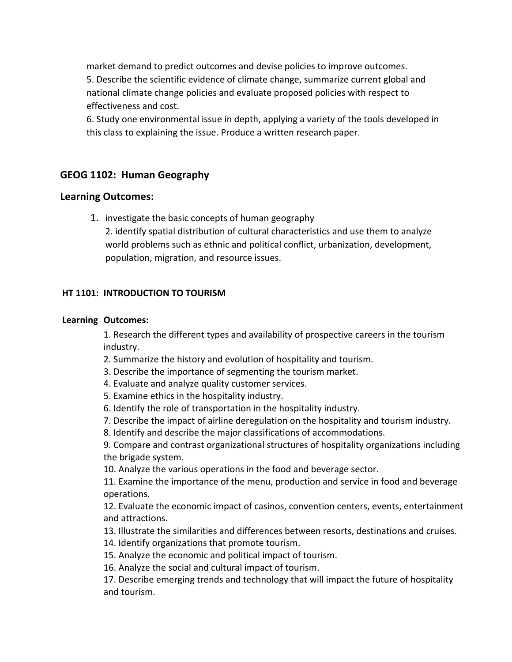market demand to predict outcomes and devise policies to improve outcomes. 5. Describe the scientific evidence of climate change, summarize current global and national climate change policies and evaluate proposed policies with respect to effectiveness and cost.

6. Study one environmental issue in depth, applying a variety of the tools developed in this class to explaining the issue. Produce a written research paper.

### **GEOG 1102: Human Geography**

### **Learning Outcomes:**

1. investigate the basic concepts of human geography

2. identify spatial distribution of cultural characteristics and use them to analyze world problems such as ethnic and political conflict, urbanization, development, population, migration, and resource issues.

#### **HT 1101: INTRODUCTION TO TOURISM**

#### **Learning Outcomes:**

1. Research the different types and availability of prospective careers in the tourism industry.

2. Summarize the history and evolution of hospitality and tourism.

3. Describe the importance of segmenting the tourism market.

4. Evaluate and analyze quality customer services.

5. Examine ethics in the hospitality industry.

6. Identify the role of transportation in the hospitality industry.

7. Describe the impact of airline deregulation on the hospitality and tourism industry.

8. Identify and describe the major classifications of accommodations.

9. Compare and contrast organizational structures of hospitality organizations including the brigade system.

10. Analyze the various operations in the food and beverage sector.

11. Examine the importance of the menu, production and service in food and beverage operations.

12. Evaluate the economic impact of casinos, convention centers, events, entertainment and attractions.

13. Illustrate the similarities and differences between resorts, destinations and cruises.

14. Identify organizations that promote tourism.

15. Analyze the economic and political impact of tourism.

16. Analyze the social and cultural impact of tourism.

17. Describe emerging trends and technology that will impact the future of hospitality and tourism.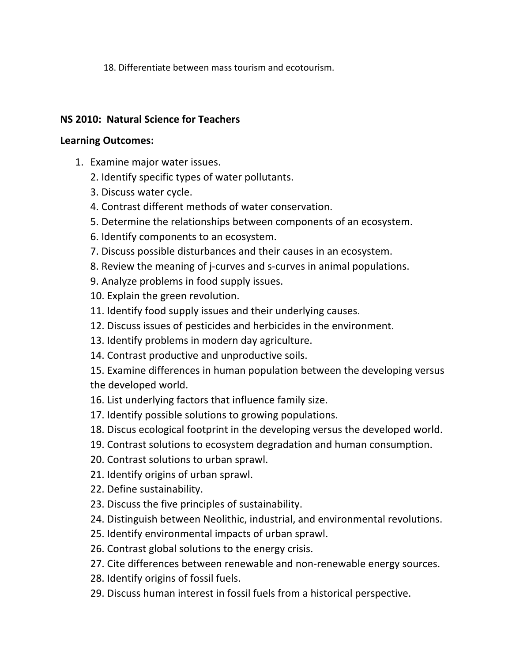18. Differentiate between mass tourism and ecotourism.

### **NS 2010: Natural Science for Teachers**

### **Learning Outcomes:**

- 1. Examine major water issues.
	- 2. Identify specific types of water pollutants.
	- 3. Discuss water cycle.
	- 4. Contrast different methods of water conservation.
	- 5. Determine the relationships between components of an ecosystem.
	- 6. Identify components to an ecosystem.
	- 7. Discuss possible disturbances and their causes in an ecosystem.
	- 8. Review the meaning of j-curves and s-curves in animal populations.
	- 9. Analyze problems in food supply issues.
	- 10. Explain the green revolution.
	- 11. Identify food supply issues and their underlying causes.
	- 12. Discuss issues of pesticides and herbicides in the environment.
	- 13. Identify problems in modern day agriculture.
	- 14. Contrast productive and unproductive soils.
	- 15. Examine differences in human population between the developing versus the developed world.
	- 16. List underlying factors that influence family size.
	- 17. Identify possible solutions to growing populations.
	- 18. Discus ecological footprint in the developing versus the developed world.
	- 19. Contrast solutions to ecosystem degradation and human consumption.
	- 20. Contrast solutions to urban sprawl.
	- 21. Identify origins of urban sprawl.
	- 22. Define sustainability.
	- 23. Discuss the five principles of sustainability.
	- 24. Distinguish between Neolithic, industrial, and environmental revolutions.
	- 25. Identify environmental impacts of urban sprawl.
	- 26. Contrast global solutions to the energy crisis.
	- 27. Cite differences between renewable and non-renewable energy sources.
	- 28. Identify origins of fossil fuels.
	- 29. Discuss human interest in fossil fuels from a historical perspective.